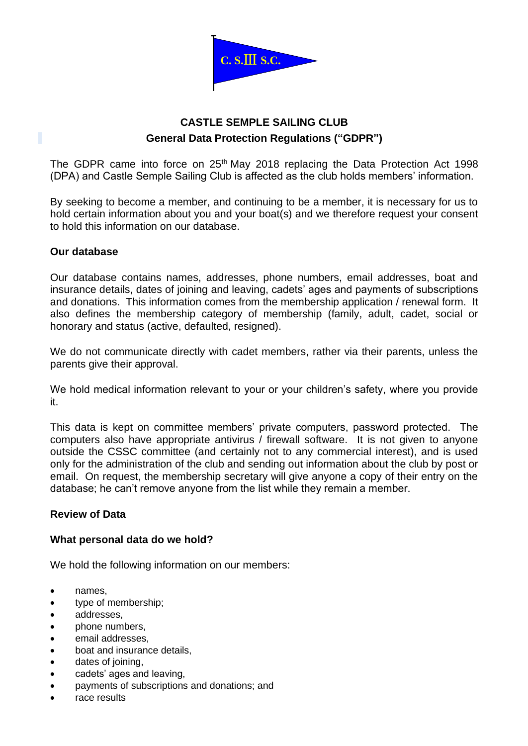

# **CASTLE SEMPLE SAILING CLUB General Data Protection Regulations ("GDPR")**

The GDPR came into force on 25<sup>th</sup> May 2018 replacing the Data Protection Act 1998 (DPA) and Castle Semple Sailing Club is affected as the club holds members' information.

By seeking to become a member, and continuing to be a member, it is necessary for us to hold certain information about you and your boat(s) and we therefore request your consent to hold this information on our database.

# **Our database**

Our database contains names, addresses, phone numbers, email addresses, boat and insurance details, dates of joining and leaving, cadets' ages and payments of subscriptions and donations. This information comes from the membership application / renewal form. It also defines the membership category of membership (family, adult, cadet, social or honorary and status (active, defaulted, resigned).

We do not communicate directly with cadet members, rather via their parents, unless the parents give their approval.

We hold medical information relevant to your or your children's safety, where you provide it.

This data is kept on committee members' private computers, password protected. The computers also have appropriate antivirus / firewall software. It is not given to anyone outside the CSSC committee (and certainly not to any commercial interest), and is used only for the administration of the club and sending out information about the club by post or email. On request, the membership secretary will give anyone a copy of their entry on the database; he can't remove anyone from the list while they remain a member.

# **Review of Data**

# **What personal data do we hold?**

We hold the following information on our members:

- names,
- type of membership;
- addresses,
- phone numbers,
- email addresses.
- boat and insurance details,
- dates of joining,
- cadets' ages and leaving,
- payments of subscriptions and donations; and
- race results